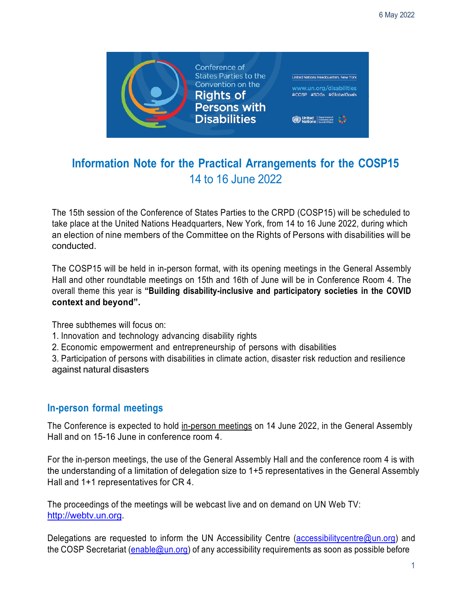

# **Information Note for the Practical Arrangements for the COSP15**  14 to 16 June 2022

 The 15th session of the Conference of States Parties to the CRPD (COSP15) will be scheduled to an election of nine members of the Committee on the Rights of Persons with disabilities will be take place at the United Nations Headquarters, New York, from 14 to 16 June 2022, during which conducted.

 The COSP15 will be held in in-person format, with its opening meetings in the General Assembly Hall and other roundtable meetings on 15th and 16th of June will be in Conference Room 4. The overall theme this year is **"Building disability-inclusive and participatory societies in the COVID context and beyond".** 

Three subthemes will focus on:

- 1. Innovation and technology advancing disability rights
- 2. Economic empowerment and entrepreneurship of persons with disabilities

 3. Participation of persons with disabilities in climate action, disaster risk reduction and resilience against natural disasters

### **In-person formal meetings**

The Conference is expected to hold <u>in-person meetings</u> on 14 June 2022, in the General Assembly Hall and on 15-16 June in conference room 4.

 For the in-person meetings, the use of the General Assembly Hall and the conference room 4 is with the understanding of a limitation of delegation size to 1+5 representatives in the General Assembly Hall and 1+1 representatives for CR 4.

 The proceedings of the meetings will be webcast live and on demand on UN Web TV: [http://webtv.un.org.](http://webtv.un.org)

Delegations are requested to inform the UN Accessibility Centre [\(accessibilitycentre@un.org](mailto:accessibilitycentre@un.org)) and the COSP Secretariat (<u>[enable@un.org](mailto:enable@un.org)</u>) of any accessibility requirements as soon as possible before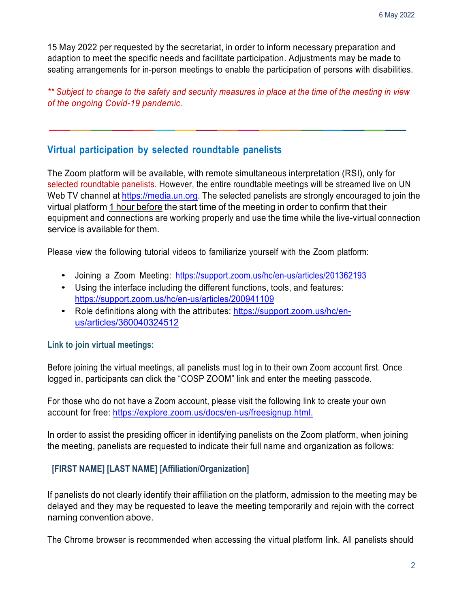15 May 2022 per requested by the secretariat, in order to inform necessary preparation and adaption to meet the specific needs and facilitate participation. Adjustments may be made to seating arrangements for in-person meetings to enable the participation of persons with disabilities.

 *\*\* Subject to change to the safety and security measures in place at the time of the meeting in view of the ongoing Covid-19 pandemic.* 

#### **Virtual participation by selected roundtable panelists**

 The Zoom platform will be available, with remote simultaneous interpretation (RSI), only for selected roundtable panelists. However, the entire roundtable meetings will be streamed live on UN Web TV channel at [https://media.un.org.](https://media.un.org) The selected panelists are strongly encouraged to join the virtual platform 1 hour before the start time of the meeting in order to confirm that their equipment and connections are working properly and use the time while the live-virtual connection service is available for them.

Please view the following tutorial videos to familiarize yourself with the Zoom platform:

- Joining a Zoom Meeting: <https://support.zoom.us/hc/en-us/articles/201362193>
- • Using the interface including the different functions, tools, and features: <https://support.zoom.us/hc/en-us/articles/200941109>
- Role definitions along with the attributes:<https://support.zoom.us/hc/en>us/articles/360040324512

#### **Link to join virtual meetings:**

 Before joining the virtual meetings, all panelists must log in to their own Zoom account first. Once logged in, participants can click the "COSP ZOOM" link and enter the meeting passcode.

 For those who do not have a Zoom account, please visit the following link to create your own account for free: [https://explore.zoom.us/docs/en-us/freesignup.html.](https://explore.zoom.us/docs/en-us/freesignup.html)

 In order to assist the presiding officer in identifying panelists on the Zoom platform, when joining the meeting, panelists are requested to indicate their full name and organization as follows:

#### **[FIRST NAME] [LAST NAME] [Affiliation/Organization]**

 If panelists do not clearly identify their affiliation on the platform, admission to the meeting may be delayed and they may be requested to leave the meeting temporarily and rejoin with the correct naming convention above.

The Chrome browser is recommended when accessing the virtual platform link. All panelists should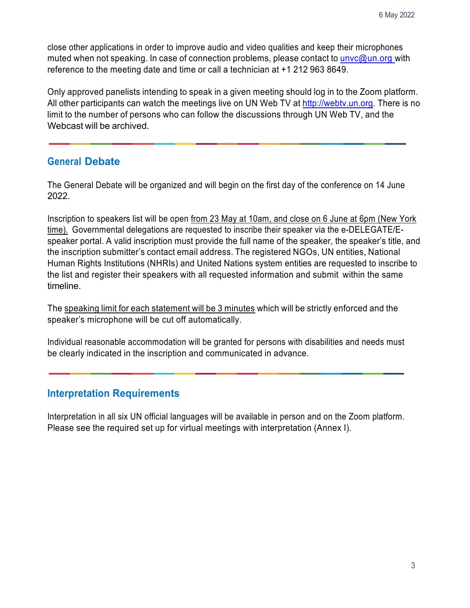close other applications in order to improve audio and video qualities and keep their microphones muted when not speaking. In case of connection problems, please contact to **unvc@un.org** with reference to the meeting date and time or call a technician at +1 212 963 8649.

 Only approved panelists intending to speak in a given meeting should log in to the Zoom platform. All other participants can watch the meetings live on UN Web TV at <u>http://webtv.un.org</u>. There is no limit to the number of persons who can follow the discussions through UN Web TV, and the Webcast will be archived.

### **General Debate**

 The General Debate will be organized and will begin on the first day of the conference on 14 June 2022.

<u>time).</u> Governmental delegations are requested to inscribe their speaker via the e-DELEGATE/E- speaker portal. A valid inscription must provide the full name of the speaker, the speaker's title, and the inscription submitter's contact email address. The registered NGOs, UN entities, National Human Rights Institutions (NHRIs) and United Nations system entities are requested to inscribe to the list and register their speakers with all requested information and submit within the same Inscription to speakers list will be open from 23 May at 10am, and close on 6 June at 6pm (New York timeline.

The speaking limit for each statement will be 3 minutes which will be strictly enforced and the speaker's microphone will be cut off automatically.

 be clearly indicated in the inscription and communicated in advance. Individual reasonable accommodation will be granted for persons with disabilities and needs must

### **Interpretation Requirements**

 Please see the required set up for virtual meetings with interpretation (Annex I). Interpretation in all six UN official languages will be available in person and on the Zoom platform.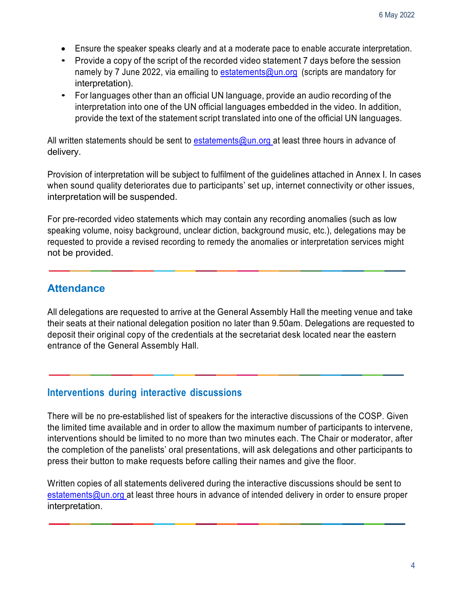- Ensure the speaker speaks clearly and at a moderate pace to enable accurate interpretation.
- • Provide a copy of the script of the recorded video statement 7 days before the session namely by 7 June 2022, via emailing to [estatements@un.org](mailto:estatements@un.org) (scripts are mandatory for interpretation).
- • For languages other than an official UN language, provide an audio recording of the interpretation into one of the UN official languages embedded in the video. In addition, provide the text of the statement script translated into one of the official UN languages.

All written statements should be sent to <u>estatements@un.org </u>at least three hours in advance of delivery.

 Provision of interpretation will be subject to fulfilment of the guidelines attached in Annex I. In cases when sound quality deteriorates due to participants' set up, internet connectivity or other issues, interpretation will be suspended.

 For pre-recorded video statements which may contain any recording anomalies (such as low speaking volume, noisy background, unclear diction, background music, etc.), delegations may be requested to provide a revised recording to remedy the anomalies or interpretation services might not be provided.

# **Attendance**

 All delegations are requested to arrive at the General Assembly Hall the meeting venue and take their seats at their national delegation position no later than 9.50am. Delegations are requested to deposit their original copy of the credentials at the secretariat desk located near the eastern entrance of the General Assembly Hall.

## **Interventions during interactive discussions**

 There will be no pre-established list of speakers for the interactive discussions of the COSP. Given the limited time available and in order to allow the maximum number of participants to intervene, interventions should be limited to no more than two minutes each. The Chair or moderator, after the completion of the panelists' oral presentations, will ask delegations and other participants to press their button to make requests before calling their names and give the floor.

 Written copies of all statements delivered during the interactive discussions should be sent to [estatements@un.org](mailto:estatements@un.org) at least three hours in advance of intended delivery in order to ensure proper interpretation.